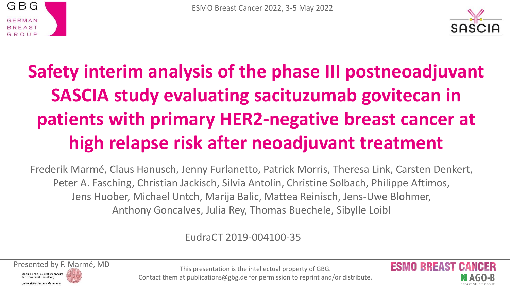



# **Safety interim analysis of the phase III postneoadjuvant SASCIA study evaluating sacituzumab govitecan in patients with primary HER2-negative breast cancer at high relapse risk after neoadjuvant treatment**

Frederik Marmé, Claus Hanusch, Jenny Furlanetto, Patrick Morris, Theresa Link, Carsten Denkert, Peter A. Fasching, Christian Jackisch, Silvia Antolín, Christine Solbach, Philippe Aftimos, Jens Huober, Michael Untch, Marija Balic, Mattea Reinisch, Jens-Uwe Blohmer, Anthony Goncalves, Julia Rey, Thomas Buechele, Sibylle Loibl

#### EudraCT 2019-004100-35



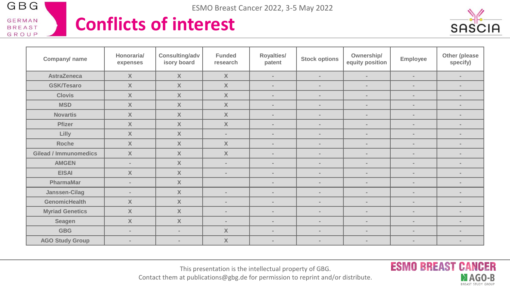

#### **Conflicts of interest**



**ESMO BREAST CANCER** 

MAGO-B BREAST STUDY GROUP

| Company/ name                | Honoraria/<br>expenses | Consulting/adv<br>isory board | <b>Funded</b><br>research | Royalties/<br>patent     | <b>Stock options</b>     | Ownership/<br>equity position | Employee                 | Other (please<br>specify) |
|------------------------------|------------------------|-------------------------------|---------------------------|--------------------------|--------------------------|-------------------------------|--------------------------|---------------------------|
| <b>AstraZeneca</b>           | $\mathsf{X}$           | $\mathsf{X}$                  | $\mathsf{X}$              | $\sim$                   | $\sim$                   | $\overline{\phantom{a}}$      | $\sim$                   | $\overline{\phantom{a}}$  |
| <b>GSK/Tesaro</b>            | $\mathsf{X}$           | $\mathsf{X}$                  | $\mathsf{X}$              | $\overline{\phantom{a}}$ | $\sim$                   | $\sim$                        | $\sim$                   | $\sim$                    |
| <b>Clovis</b>                | $\mathsf{X}$           | $\mathsf{X}$                  | $\mathsf{X}$              | $\overline{\phantom{a}}$ | $\sim$                   | $\blacksquare$                | $\overline{\phantom{a}}$ | $\sim$                    |
| <b>MSD</b>                   | $\mathsf{X}$           | $\mathsf{X}$                  | $\mathsf{X}$              | $\blacksquare$           | $\sim$                   | $\overline{\phantom{a}}$      | $\sim$                   | $\sim$                    |
| <b>Novartis</b>              | $\mathsf{X}$           | X                             | $\mathsf{X}$              | $\overline{\phantom{a}}$ | $\sim$                   | $\overline{a}$                | $\sim$                   | $\overline{\phantom{a}}$  |
| Pfizer                       | $\mathsf{X}$           | $\mathsf{X}$                  | $\mathsf{X}$              | $\sim$                   | $\sim$                   | $\overline{\phantom{a}}$      | $\sim$                   | $\sim$                    |
| Lilly                        | $\mathsf{X}$           | $\mathsf{X}$                  | $\sim$                    | $\overline{\phantom{a}}$ | $\overline{\phantom{a}}$ | $\sim$                        | $\overline{\phantom{a}}$ | $\sim$                    |
| Roche                        | $\mathsf{X}$           | $\mathsf{X}$                  | $\mathsf{X}$              | $\sim$                   | $\sim$                   | $\overline{a}$                | $\overline{\phantom{a}}$ | $\sim$                    |
| <b>Gilead / Immunomedics</b> | $\mathsf{X}$           | $\mathsf{X}$                  | $\mathsf{X}$              | $\overline{\phantom{a}}$ | $\sim$                   | $\overline{\phantom{a}}$      | $\sim$                   | $\sim$                    |
| <b>AMGEN</b>                 | $\sim$                 | $\mathsf{X}$                  | $\sim$                    | $\overline{\phantom{a}}$ | $\overline{\phantom{a}}$ | $\overline{a}$                | $\sim$                   | $\sim$                    |
| <b>EISAI</b>                 | $\mathsf{X}$           | $\mathsf{X}$                  | $\sim$                    | $\overline{\phantom{a}}$ | $\sim$                   | $\blacksquare$                | $\sim$                   | $\sim$                    |
| PharmaMar                    | $\sim$                 | $\mathsf{X}$                  |                           | $\overline{\phantom{a}}$ | $\sim$                   | $\overline{\phantom{a}}$      | $\sim$                   | $\sim$                    |
| Janssen-Cilag                | $\sim$                 | $\mathsf{X}$                  | $\sim$                    | $\sim$                   | $\sim$                   | $\overline{\phantom{a}}$      | $\sim$                   | $\sim$                    |
| <b>GenomicHealth</b>         | $\mathsf{X}$           | $\mathsf{X}$                  | $\sim$                    | $\overline{\phantom{a}}$ | $\sim$                   | $\overline{\phantom{a}}$      | $\sim$                   | $\sim$                    |
| <b>Myriad Genetics</b>       | $\mathsf{X}$           | $\boldsymbol{X}$              | $\sim$                    | $\blacksquare$           | $\,$                     | $\overline{\phantom{a}}$      | $\,$                     | $\overline{\phantom{a}}$  |
| Seagen                       | $\mathsf{X}$           | $\mathsf{X}$                  | $\sim$                    | $\overline{\phantom{a}}$ | $\sim$                   | $\overline{\phantom{a}}$      | $\sim$                   | $\sim$                    |
| <b>GBG</b>                   | $\sim$                 | $\sim$                        | $\mathsf{X}$              | $\overline{\phantom{a}}$ | $\sim$                   | $\overline{\phantom{a}}$      | $\sim$                   | $\overline{\phantom{a}}$  |
| <b>AGO Study Group</b>       | $\sim$                 | $\sim$                        | $\mathsf{X}$              | $\overline{\phantom{a}}$ | $\sim$                   | $\overline{a}$                | $\overline{\phantom{a}}$ | $\sim$                    |

This presentation is the intellectual property of GBG.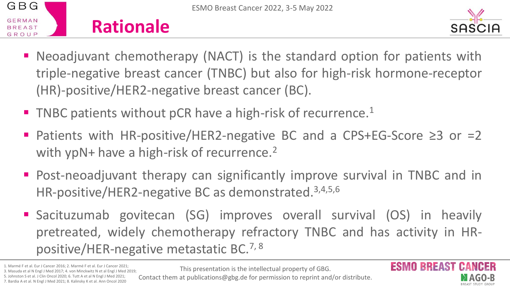



- Neoadjuvant chemotherapy (NACT) is the standard option for patients with triple-negative breast cancer (TNBC) but also for high-risk hormone-receptor (HR)-positive/HER2-negative breast cancer (BC).
- TNBC patients without pCR have a high-risk of recurrence.<sup>1</sup>
- Patients with HR-positive/HER2-negative BC and a CPS+EG-Score ≥3 or =2 with ypN+ have a high-risk of recurrence. 2
- Post-neoadjuvant therapy can significantly improve survival in TNBC and in HR-positive/HER2-negative BC as demonstrated. 3,4,5,6
- Sacituzumab govitecan (SG) improves overall survival (OS) in heavily pretreated, widely chemotherapy refractory TNBC and has activity in HRpositive/HER-negative metastatic BC. 7, 8

1. Marmé F et al. Eur J Cancer 2016; 2. Marmé F et al. Eur J Cancer 2021; 3. Masuda et al N Engl J Med 2017; 4. von Minckwitz N et al Engl J Med 2019;

5. Johnston S et al. J Clin Oncol 2020; 6. Tutt A et al N Engl J Med 2021; 7. Bardia A et al. N Engl J Med 2021; 8. Kalinsky K et al. Ann Oncol 2020

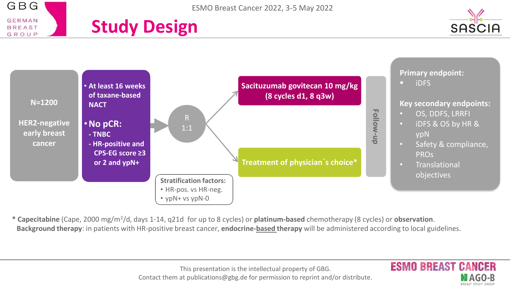







**\* Capecitabine** (Cape, 2000 mg/m<sup>2</sup> /d, days 1-14, q21d for up to 8 cycles) or **platinum-based** chemotherapy (8 cycles) or **observation**. **Background therapy**: in patients with HR-positive breast cancer, **endocrine-based therapy** will be administered according to local guidelines.

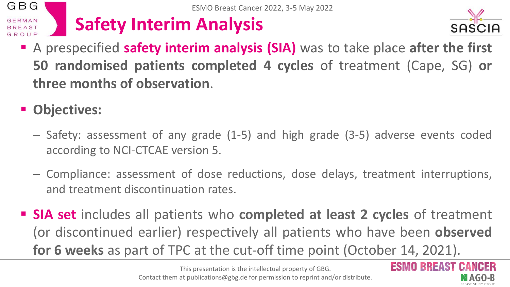#### GBG ESMO Breast Cancer 2022, 3-5 May 2022 **Safety Interim Analysis GERMAN BREAST** GROU



- A prespecified **safety interim analysis (SIA)** was to take place **after the first 50 randomised patients completed 4 cycles** of treatment (Cape, SG) **or three months of observation**.
- Objectives:
	- Safety: assessment of any grade (1-5) and high grade (3-5) adverse events coded according to NCI-CTCAE version 5.
	- Compliance: assessment of dose reductions, dose delays, treatment interruptions, and treatment discontinuation rates.
- **SIA set** includes all patients who **completed at least 2 cycles** of treatment (or discontinued earlier) respectively all patients who have been **observed for 6 weeks** as part of TPC at the cut-off time point (October 14, 2021).

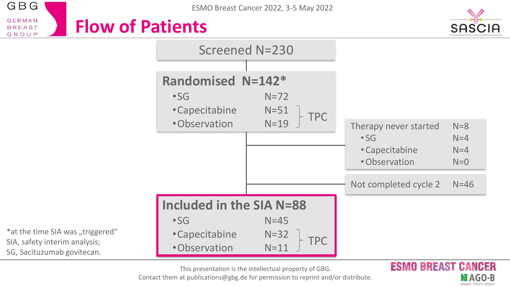GBG **GERMAN Flow of Patients BREAST** GROUP





**MAGO-B** BREAST STUDY GROU

**ESMO BREAST** 



This presentation is the intellectual property of GBG.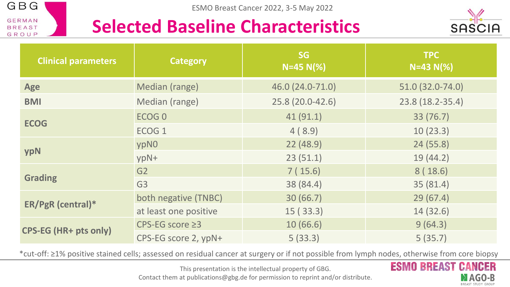

#### **Selected Baseline Characteristics**



| <b>Clinical parameters</b> | <b>Category</b>       | <b>SG</b><br>$N=45 N(\%)$ | <b>TPC</b><br>$N=43 N(\%)$ |
|----------------------------|-----------------------|---------------------------|----------------------------|
| Age                        | Median (range)        | 46.0 (24.0-71.0)          | 51.0 (32.0-74.0)           |
| <b>BMI</b>                 | Median (range)        | 25.8 (20.0-42.6)          | 23.8 (18.2-35.4)           |
|                            | ECOG <sub>0</sub>     | 41(91.1)                  | 33 (76.7)                  |
| <b>ECOG</b>                | ECOG <sub>1</sub>     | 4(8.9)                    | 10(23.3)                   |
|                            | ypN0                  | 22(48.9)                  | 24(55.8)                   |
| ypN                        | ypN+                  | 23(51.1)                  | 19(44.2)                   |
|                            | G2                    | 7(15.6)                   | 8(18.6)                    |
| <b>Grading</b>             | G <sub>3</sub>        | 38 (84.4)                 | 35(81.4)                   |
|                            | both negative (TNBC)  | 30(66.7)                  | 29(67.4)                   |
| ER/PgR (central)*          | at least one positive | 15(33.3)                  | 14(32.6)                   |
| CPS-EG (HR+ pts only)      | CPS-EG score $\geq$ 3 | 10(66.6)                  | 9(64.3)                    |
|                            | CPS-EG score 2, ypN+  | 5(33.3)                   | 5(35.7)                    |

\*cut-off: ≥1% positive stained cells; assessed on residual cancer at surgery or if not possible from lymph nodes, otherwise from core biopsy



This presentation is the intellectual property of GBG.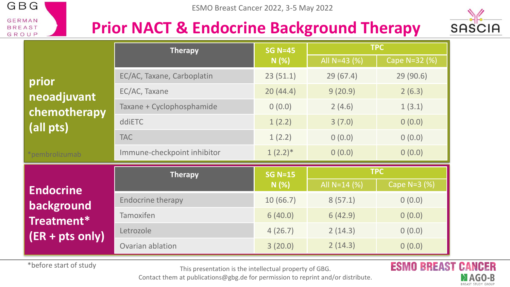

#### **Prior NACT & Endocrine Background Therapy**



|                     | <b>Therapy</b>              | <b>SG N=45</b> | <b>TPC</b>     |               |  |
|---------------------|-----------------------------|----------------|----------------|---------------|--|
|                     |                             | N(%)           | All N=43 $(%)$ | Cape N=32 (%) |  |
| prior               | EC/AC, Taxane, Carboplatin  | 23(51.1)       | 29(67.4)       | 29(90.6)      |  |
| neoadjuvant         | EC/AC, Taxane               | 20(44.4)       | 9(20.9)        | 2(6.3)        |  |
| chemotherapy        | Taxane + Cyclophosphamide   | 0(0.0)         | 2(4.6)         | 1(3.1)        |  |
| (all pts)           | ddiETC                      | 1(2.2)         | 3(7.0)         | 0(0.0)        |  |
|                     | <b>TAC</b>                  | 1(2.2)         | 0(0.0)         | 0(0.0)        |  |
| *pembrolizumab      | Immune-checkpoint inhibitor | $1(2.2)$ *     | 0(0.0)         | 0(0.0)        |  |
|                     | <b>Therapy</b>              | <b>SG N=15</b> | <b>TPC</b>     |               |  |
| <b>Endocrine</b>    |                             | N(%)           | All N=14 (%)   | Cape N=3 (%)  |  |
| background          | <b>Endocrine therapy</b>    | 10(66.7)       | 8(57.1)        | 0(0.0)        |  |
| Treatment*          | Tamoxifen                   | 6(40.0)        | 6(42.9)        | 0(0.0)        |  |
| $(ER + pts \ only)$ | Letrozole                   | 4(26.7)        | 2(14.3)        | 0(0.0)        |  |
|                     | Ovarian ablation            | 3(20.0)        | 2(14.3)        | 0(0.0)        |  |

\*before start of study

This presentation is the intellectual property of GBG.

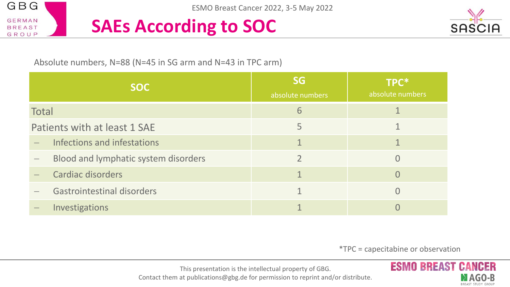

### **SAEs According to SOC**



Absolute numbers, N=88 (N=45 in SG arm and N=43 in TPC arm)

| <b>SOC</b>                   |                                      | <b>SG</b><br>absolute numbers | TPC*<br>absolute numbers |  |
|------------------------------|--------------------------------------|-------------------------------|--------------------------|--|
| <b>Total</b>                 |                                      | 6                             |                          |  |
| Patients with at least 1 SAE |                                      | 5                             |                          |  |
|                              | Infections and infestations          |                               |                          |  |
|                              | Blood and lymphatic system disorders |                               |                          |  |
| Cardiac disorders            |                                      |                               |                          |  |
|                              | <b>Gastrointestinal disorders</b>    |                               |                          |  |
|                              | Investigations                       |                               |                          |  |

\*TPC = capecitabine or observation



This presentation is the intellectual property of GBG.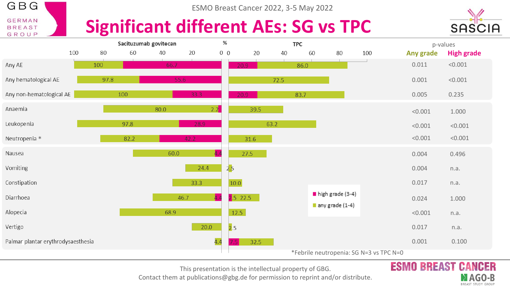

ESMO Breast Cancer 2022, 3-5 May 2022

#### **Significant different AEs: SG vs TPC**



CANCER **MAGO-B BREAST STUDY GROUP** 

**ESMO BREAST** 



This presentation is the intellectual property of GBG.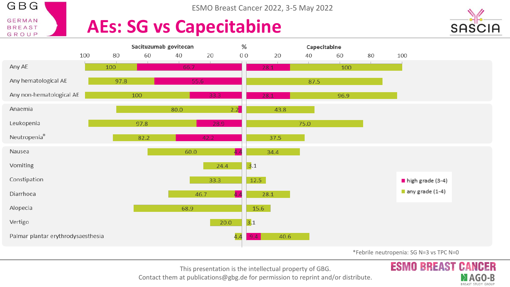

ESMO Breast Cancer 2022, 3-5 May 2022

### **AEs: SG vs Capecitabine**



**MAGO-B BREAST STUDY GROUP** 

**ESMO BREAST** 



This presentation is the intellectual property of GBG.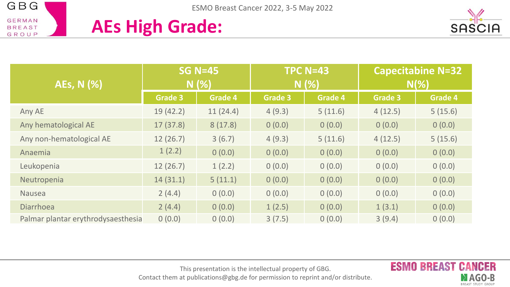







| AEs, N (%)                         | <b>SG N=45</b><br>N(%) |          | <b>TPC N=43</b><br>N(%) |         | <b>Capecitabine N=32</b><br>$N(\%)$ |                |
|------------------------------------|------------------------|----------|-------------------------|---------|-------------------------------------|----------------|
|                                    | <b>Grade 3</b>         | Grade 4  | <b>Grade 3</b>          | Grade 4 | <b>Grade 3</b>                      | <b>Grade 4</b> |
| Any AE                             | 19(42.2)               | 11(24.4) | 4(9.3)                  | 5(11.6) | 4(12.5)                             | 5(15.6)        |
| Any hematological AE               | 17(37.8)               | 8(17.8)  | 0(0.0)                  | 0(0.0)  | 0(0.0)                              | 0(0.0)         |
| Any non-hematological AE           | 12(26.7)               | 3(6.7)   | 4(9.3)                  | 5(11.6) | 4(12.5)                             | 5(15.6)        |
| Anaemia                            | 1(2.2)                 | 0(0.0)   | 0(0.0)                  | 0(0.0)  | 0(0.0)                              | 0(0.0)         |
| Leukopenia                         | 12(26.7)               | 1(2.2)   | 0(0.0)                  | 0(0.0)  | 0(0.0)                              | 0(0.0)         |
| Neutropenia                        | 14(31.1)               | 5(11.1)  | 0(0.0)                  | 0(0.0)  | 0(0.0)                              | 0(0.0)         |
| Nausea                             | 2(4.4)                 | 0(0.0)   | 0(0.0)                  | 0(0.0)  | 0(0.0)                              | 0(0.0)         |
| <b>Diarrhoea</b>                   | 2(4.4)                 | 0(0.0)   | 1(2.5)                  | 0(0.0)  | 1(3.1)                              | 0(0.0)         |
| Palmar plantar erythrodysaesthesia | 0(0.0)                 | 0(0.0)   | 3(7.5)                  | 0(0.0)  | 3(9.4)                              | 0(0.0)         |

This presentation is the intellectual property of GBG.

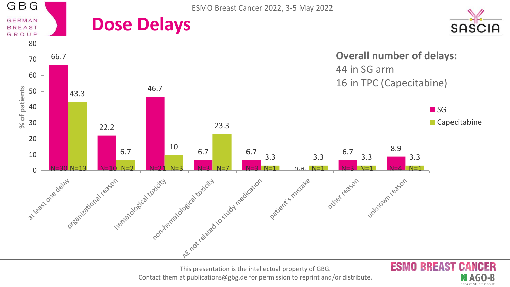

This presentation is the intellectual property of GBG. Contact them at publications@gbg.de for permission to reprint and/or distribute.

MAGO-B BREAST STUDY GROUP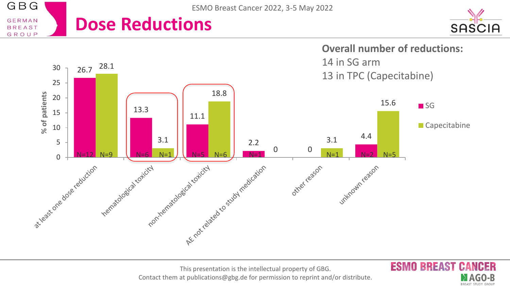

This presentation is the intellectual property of GBG. Contact them at publications@gbg.de for permission to reprint and/or distribute. **ESMO BREAST CANCER** 

MAGO-B BREAST STUDY GROUP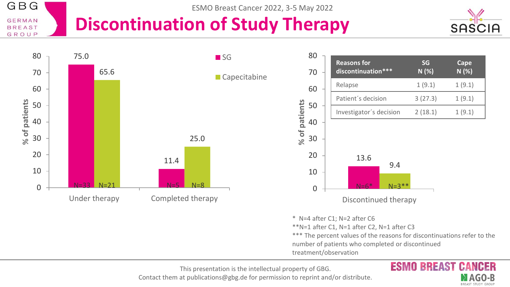#### GBG ESMO Breast Cancer 2022, 3-5 May 2022 **GERMAN Discontinuation of Study Therapy BREAST** GROUP



MAGO-B **BREAST STUDY GROUP** 



This presentation is the intellectual property of GBG.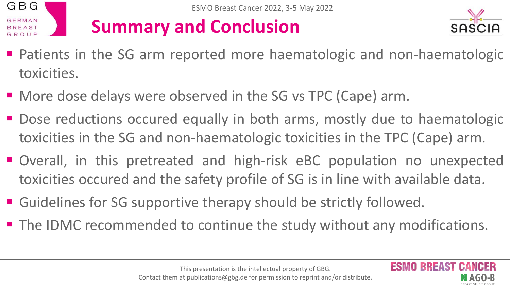

## **Summary and Conclusion**



**RREAST** 

- Patients in the SG arm reported more haematologic and non-haematologic toxicities.
- More dose delays were observed in the SG vs TPC (Cape) arm.
- Dose reductions occured equally in both arms, mostly due to haematologic toxicities in the SG and non-haematologic toxicities in the TPC (Cape) arm.
- Overall, in this pretreated and high-risk eBC population no unexpected toxicities occured and the safety profile of SG is in line with available data.
- Guidelines for SG supportive therapy should be strictly followed.
- The IDMC recommended to continue the study without any modifications.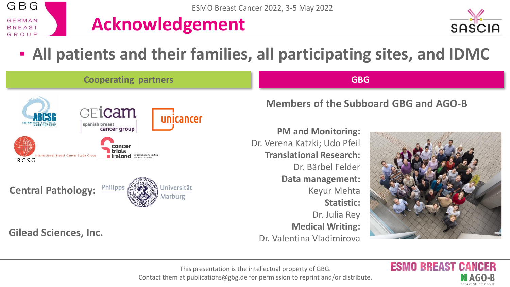

#### **Acknowledgement**



**MAGO-B** BREAST STUDY GROU

**ESMO BREAST** 

#### ▪ **All patients and their families, all participating sites, and IDMC**

| <b>Cooperating partners</b>                                                                                                                     | <b>GBG</b>                                                                                                       |
|-------------------------------------------------------------------------------------------------------------------------------------------------|------------------------------------------------------------------------------------------------------------------|
| GE <b>icam</b><br>unicancer<br>spanish breast                                                                                                   | Members of the Subboard GBG and AGO-B                                                                            |
| cancer group<br>cancer<br>trials<br>$\blacksquare$ ireland $Together, we're finding$<br>International Breast Cancer Study Group<br><b>IBCSG</b> | <b>PM and Monitoring:</b><br>Dr. Verena Katzki; Udo Pfeil<br><b>Translational Research:</b><br>Dr. Bärbel Felder |
| Philipps<br>Universität<br><b>Central Pathology:</b><br>Marburg                                                                                 | Data management:<br>Keyur Mehta<br>Statistic:<br>Dr. Julia Rey                                                   |
| <b>Gilead Sciences, Inc.</b>                                                                                                                    | <b>Medical Writing:</b><br>Dr. Valentina Vladimirova                                                             |